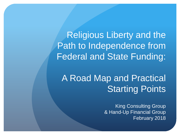Religious Liberty and the Path to Independence from Federal and State Funding:

## A Road Map and Practical Starting Points

King Consulting Group & Hand-Up Financial Group February 2018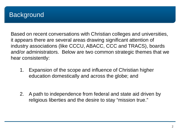### **Background**

Based on recent conversations with Christian colleges and universities, it appears there are several areas drawing significant attention of industry associations (like CCCU, ABACC, CCC and TRACS), boards and/or administrators. Below are two common strategic themes that we hear consistently:

- 1. Expansion of the scope and influence of Christian higher education domestically and across the globe; and
- 2. A path to independence from federal and state aid driven by religious liberties and the desire to stay "mission true."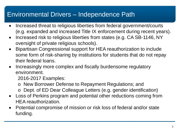### Environmental Drivers – Independence Path

- Increased threat to religious liberties from federal government/courts (e.g. expanded and increased Title IX enforcement during recent years).
- Increased risk to religious liberties from states (e.g. CA SB-1146, NY oversight of private religious schools).
- Bipartisan Congressional support for HEA reauthorization to include some form of risk-sharing by institutions for students that do not repay their federal loans.
- Increasingly more complex and fiscally burdensome regulatory environment.

2016-2017 Examples:

- o New Borrower Defense to Repayment Regulations; and
- o Dept. of ED Dear Colleague Letters (e.g. gender identification)
- Loss of Perkins program and potential other reductions coming from HEA reauthorization.
- Potential compromise of mission or risk loss of federal and/or state funding.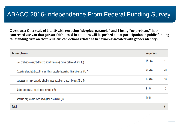### ABACC 2016-Independence From Federal Funding Survey

**Question1: On a scale of 1 to 10 with ten being "sleepless paranoia" and 1 being "no problem," how concerned are you that private faith-based institutions will be pushed out of participation in public funding for standing firm on their religious convictions related to behaviors associated with gender identity?**

| <b>Answer Choices</b>                                                              |        | <b>Responses</b> |  |
|------------------------------------------------------------------------------------|--------|------------------|--|
| Lots of sleepless nights thinking about this one (I give it between 8 and 10)      | 17.19% |                  |  |
| Occasional anxiety/thought when I hear people discussing this (I give it a 5 to 7) | 62.50% | 40               |  |
| It crosses my mind occasionally, but have not given it much thought (3 to 5)       | 15.63% | 10               |  |
| Not on the radar It's all good here (1 to 3)                                       | 3.13%  |                  |  |
| Not sure why we are even having this discussion (0)                                |        |                  |  |
| <b>Total</b>                                                                       |        | 64               |  |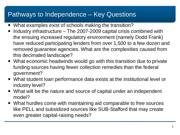### Pathways to Independence – Key Questions

- What examples exist of schools making the transition?
- Industry infrastructure The 2007-2009 capital crisis combined with the ensuing increased regulatory environment (namely Dodd Frank) have reduced participating lenders from over 1,500 to a few dozen and removed guarantee agencies. What are the complexities caused from this decimated landscape?
- What economic headwinds would go with this transition due to private funding sources having fewer collection remedies than the federal government?
- What student loan performance data exists at the institutional level or industry level?
- What will be the nature and source of capital under an independent model?
- What hurdles come with maintaining aid comparable to free sources like PELL and subsidized sources like SUB-Stafford that may create even greater capital-raising needs?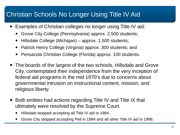### Christian Schools No Longer Using Title IV Aid

- Examples of Christian colleges no longer using Title IV aid:
	- Grove City College (Pennsylvania) approx. 2,500 students;
	- Hillsdale College (Michigan) approx. 1,500 students;
	- Patrick Henry College (Virginia) approx. 300 students; and
	- Pensacola Christian College (Florida) approx. 100 students.
- The boards of the largest of the two schools, Hillsdale and Grove City, contemplated their independence from the very inception of federal aid programs in the mid 1970's due to concerns about governmental intrusion on instructional content, mission, and religious liberty.
- Both entities had actions regarding Title IV and Title IX that ultimately were resolved by the Supreme Court.
	- Hillsdale stopped accepting all Title IV aid in 1984.
	- Grove City stopped accepting Pell in 1984 and all other Title IV aid in 1996.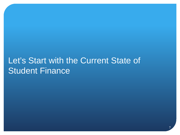## Let's Start with the Current State of **Student Finance**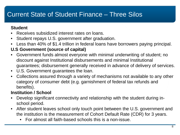### Current State of Student Finance – Three Silos

#### **Student**

- Receives subsidized interest rates on loans.
- Student repays U.S. government after graduation.
- Less than 40% of \$1.4 trillion in federal loans have borrowers paying principal.

#### **U.S Government (source of capital)**

- Government funds almost everyone with minimal underwriting of student; no discount against Institutional disbursements and minimal Institutional guarantees; disbursement generally received in advance of delivery of services.
- U.S. Government guarantees the loan.
- Collections assured through a variety of mechanisms not available to any other category of consumer debt (e.g. garnishment of federal tax refunds and benefits).

#### **Institution / School**

- Develop significant connectivity and relationship with the student during inschool period.
- After student leaves school only touch point between the U.S. government and the institution is the measurement of Cohort Default Rate (CDR) for 3 years.
	- For almost all faith-based schools this is a non-issue.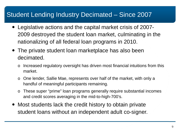### Student Lending Industry Decimated – Since 2007

- Legislative actions and the capital market crisis of 2007- 2009 destroyed the student loan market, culminating in the nationalizing of all federal loan programs in 2010.
- The private student loan marketplace has also been decimated.
	- o Increased regulatory oversight has driven most financial intuitions from this market.
	- o One lender, Sallie Mae, represents over half of the market, with only a handful of meaningful participants remaining.
	- o These super "prime" loan programs generally require substantial incomes and credit scores averaging in the mid-to-high-700's.
- Most students lack the credit history to obtain private student loans without an independent adult co-signer.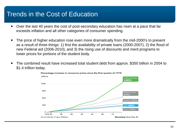### Trends in the Cost of Education

- Over the last 40 years the cost of post-secondary education has risen at a pace that far exceeds inflation and all other categories of consumer spending.
- The price of higher education rose even more dramatically from the mid-2000's to present as a result of three things: 1) first the availability of private loans (2000-2007), 2) the flood of new Federal aid (2006-2010), and 3) the rising use of discounts and merit programs to lower prices for portions of the student body.
- The combined result have increased total student debt from approx. \$350 billion in 2004 to \$1.4 trillion today.



Percentage increase in consumer prices since the first quarter of 1978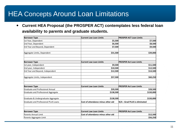### HEA Concepts Around Loan Limitations

 **Current HEA Proposal (the PROSPER ACT) contemplates less federal loan availability to parents and graduate students.**

| <b>Borrower Type</b>                 | <b>Current Law Loan Limits</b>     | <b>PROSPER ACT Loan Limits</b> |
|--------------------------------------|------------------------------------|--------------------------------|
| 1st Year, Dependent                  | \$5,500                            | \$7,500                        |
| 2nd Year, Dependent                  | \$6,500                            | \$8,500                        |
| 3rd Year and Beyond, Dependent       | \$7,500                            | \$9,500                        |
| Aggregate Limits, Dependent          | \$31,500                           | \$39,000                       |
| <b>Borrower Type</b>                 | <b>Current Law Loan Limits</b>     | <b>PROSPER Act Loan Limits</b> |
| 1st year, Independent                | \$9,500                            | \$11,500                       |
| 2nd year, Independent                | \$10,500                           | \$12,500                       |
| 3rd Year and Beyond, Independent     | \$12,500                           | \$14,500                       |
| Aggregate Limits, Independent        | \$57,500                           | \$60,250                       |
| <b>Borrower Type</b>                 | <b>Current Law Loan Limits</b>     | <b>PROSPER Act Loan Limits</b> |
| Graduate and Professional Annual     | \$20,500                           | \$28,500                       |
| Graduate and Professional Aggregate  | \$138,500                          | \$150,000                      |
| Graduate & Undergraduate Aggregate   | \$138,500                          | \$150,000                      |
| Graduate and Professional PLUS Loans | Cost of attendance minus other aid | N/A --Grad PLUS is eliminated  |
| <b>Borrower Type</b>                 | <b>Current Law Loan Limits</b>     | <b>PROSPER Act Loan Limits</b> |
| Parents Annual Limit                 | Cost of attendance minus other aid | \$12,500                       |
| Parents Aggregate Limit              |                                    | \$56,250                       |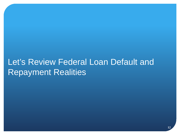## Let's Review Federal Loan Default and Repayment Realities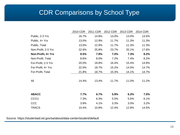### CDR Comparisons by School Type

|                     | 2010 CDR | 2011 CDR | 2012 CDR | 2013 CDR | 2014 CDR |
|---------------------|----------|----------|----------|----------|----------|
| Public, 2-3 Yrs     | 16.7%    | 14.8%    | 13.0%    | 13.0%    | 13.5%    |
| Public, 4+ Yrs      | 13.0%    | 12.9%    | 11.7%    | 11.3%    | 11.3%    |
| Public, Total       | 13.0%    | 12.9%    | 11.7%    | 11.3%    | 11.3%    |
| Non-Profit, 2-3 Yrs | 22.6%    | 25.8%    | 23.7%    | 20.1%    | 17.6%    |
| Non-Profit, 4+ Yrs  | 8.5%     | 7.8%     | 7.0%     | 7.3%     | 8.2%     |
| Non-Profit, Total   | 8.6%     | 8.0%     | 7.2%     | 7.4%     | 8.2%     |
| For-Profit, 2-3 Yrs | 20.0%    | 18.8%    | 16.4%    | 15.4%    | 14.8%    |
| For-Profit, 4+ Yrs  | 22.0%    | 18.7%    | 15.2%    | 14.0%    | 14.7%    |
| For-Profit, Total   | 21.8%    | 18.7%    | 15.3%    | 14.1%    | 14.7%    |
| All                 | 14.4%    | 13.4%    | 11.7%    | 11.0%    | 11.2%    |
| <b>ABACC</b>        | 7.7%     | 6.7%     | 5.9%     | 6.2%     | 7.0%     |
| CCCU                | 7.3%     | 6.3%     | 5.5%     | 5.5%     | 6.1%     |
| CCC                 | 3.8%     | 4.1%     | 3.3%     | 3.0%     | 3.2%     |
| <b>TRACS</b>        | 10.4%    | 10.8%    | 12.4%    | 12.8%    | 14.5%    |

Source: https://studentaid.ed.gov/sa/about/data-center/student/default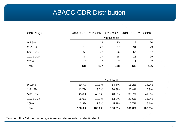### ABACC CDR Distribution

| <b>CDR Range</b> | 2010 CDR | 2011 CDR       | 2012 CDR   | 2013 CDR | 2014 CDR       |
|------------------|----------|----------------|------------|----------|----------------|
|                  |          | # of Schools   |            |          |                |
| $0 - 2.5%$       | 14       | 19             | 20         | 22       | 20             |
| 2.51-5%          | 18       | 27             | 37         | 31       | 23             |
| 5.01-10%         | 60       | 62             | 56         | 54       | 57             |
| 10.01-20%        | 34       | 27             | 18         | 28       | 29             |
| $20%+$           | 5        | $\overline{2}$ | 7          | 1        | $\overline{7}$ |
| Total            | 131      | 137            | 138        | 136      | 136            |
|                  |          |                | % of Total |          |                |
| $0 - 2.5%$       | 10.7%    | 13.9%          | 14.5%      | 16.2%    | 14.7%          |
| 2.51-5%          | 13.7%    | 19.7%          | 26.8%      | 22.8%    | 16.9%          |
| 5.01-10%         | 45.8%    | 45.3%          | 40.6%      | 39.7%    | 41.9%          |
| 10.01-20%        | 26.0%    | 19.7%          | 13.0%      | 20.6%    | 21.3%          |
| $20%+$           | 3.8%     | 1.5%           | 5.1%       | 0.7%     | 5.1%           |
| Total            | 100.0%   | 100.0%         | 100.0%     | 100.0%   | 100.0%         |

Source: https://studentaid.ed.gov/sa/about/data-center/student/default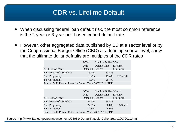### CDR vs. Lifetime Default

- When discussing federal loan default risk, the most common reference is the 2-year or 3-year unit-based cohort default rate.
- However, other aggregated data published by ED at a sector level or by the Congressional Budget Office (CBO) at a funding source level, show that the ultimate dollar defaults are multiples of the CDR rates

|                                                             | 2-Year           | Lifetime Dollar 2-Yr to |              |
|-------------------------------------------------------------|------------------|-------------------------|--------------|
|                                                             | Unit             | Default Rate            | Lifetime     |
| 2011 Cohort Year                                            | Default % Budget |                         | Multiplier   |
| 2 Yr Non-Profit & Public                                    | 15.4%            | 33.8%                   |              |
| 2 Yr Proprietary                                            | 16.7%            | 49.4%                   | 2.2 to $3.0$ |
| 4 Yr Institutions                                           | 8.6%             | 25.4%                   |              |
| Source: DoE, Default Rates for Cohort Years 2007-2011 (PDF) |                  |                         |              |

|                                                             | 3-Year           | Lifetime Dollar 3-Yr to |              |
|-------------------------------------------------------------|------------------|-------------------------|--------------|
|                                                             | Unit             | Default Rate            | Lifetime     |
| 2010 Cohort Year                                            | Default % Budget |                         | Multiplier   |
| 2 Yr Non-Profit & Public                                    | 21.5%            | 34.5%                   |              |
| 2 Yr Proprietary                                            | 27.1%            | 50.0%                   | 1.6 to $2.1$ |
| 4 Yr Institutions                                           | 12.8%            | 26.9%                   |              |
| Source: DoE, Default Rates for Cohort Years 2007-2011 (PDF) |                  |                         |              |

Source http://www.ifap.ed.gov/eannouncements/060614DefaultRatesforCohortYears20072011.html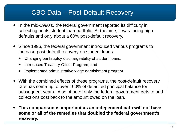### CBO Data – Post-Default Recovery

- In the mid-1990's, the federal government reported its difficulty in collecting on its student loan portfolio. At the time, it was facing high defaults and only about a 60% post-default recovery.
- Since 1996, the federal government introduced various programs to increase post default recovery on student loans:
	- Changing bankruptcy dischargeability of student loans;
	- Introduced Treasury Offset Program; and
	- Implemented administrative wage garnishment program.
- With the combined effects of these programs, the post-default recovery rate has come up to over 100% of defaulted principal balance for subsequent years. Also of note: only the federal government gets to add collections cost back to the amount owed on the loan.
- **This comparison is important as an independent path will not have some or all of the remedies that doubled the federal government's recovery.**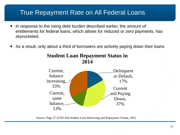### True Repayment Rate on All Federal Loans

- In response to the rising debt burden described earlier, the amount of entitlements for federal loans, which allows for reduced or zero payments, has skyrocketed.
- As a result, only about a third of borrowers are actively paying down their loans



**Student Loan Repayment Status in 2014**

Source: Page 27 of NY Fed Student Loan Borrowing and Repayment Trends, 2015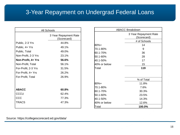### 3-Year Repayment on Undergrad Federal Loans

| All Schools         |                                      |  |  |
|---------------------|--------------------------------------|--|--|
|                     | 3 Year Repayment Rate<br>(Scorecard) |  |  |
| Public, 2-3 Yrs     | 44.8%                                |  |  |
| Public, 4+ Yrs      | 49.1%                                |  |  |
| Public, Total       | 49.0%                                |  |  |
| Non-Profit, 2-3 Yrs | 23.1%                                |  |  |
| Non-Profit, 4+ Yrs  | 56.6%                                |  |  |
| Non-Profit, Total   | 56.1%                                |  |  |
| For-Profit, 2-3 Yrs | 31.5%                                |  |  |
| For-Profit, 4+ Yrs  | 26.2%                                |  |  |
| For-Profit, Total   | 26.9%                                |  |  |
|                     |                                      |  |  |
| <b>ABACC</b>        | 60.8%                                |  |  |
| CCCU                | 62.4%                                |  |  |
| CCC                 | 77.3%                                |  |  |
| <b>TRACS</b>        | 47.3%                                |  |  |
|                     |                                      |  |  |

|              | <b>ABACC Breakdown</b>               |  |
|--------------|--------------------------------------|--|
|              | 3 Year Repayment Rate<br>(Scorecard) |  |
|              | # of Schools                         |  |
| 80%+         | 14                                   |  |
| 70.1-80%     | 9                                    |  |
| 60.1-70%     | 36                                   |  |
| 50.1-60%     | 28                                   |  |
| 40.1-50%     | 17                                   |  |
| 40% or below | 15                                   |  |
| Total        | 119                                  |  |
|              |                                      |  |
|              | % of Total                           |  |
| 80%+         | 11.8%                                |  |
| 70.1-80%     | 7.6%                                 |  |
| 60.1-70%     | 30.3%                                |  |
| 50.1-60%     | 23.5%                                |  |
| 40.1-50%     | 14.3%                                |  |
| 40% or below | 12.6%                                |  |
| Total        | 100.0%                               |  |

Source: https://collegescorecard.ed.gov/data/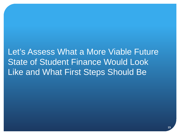## Let's Assess What a More Viable Future State of Student Finance Would Look Like and What First Steps Should Be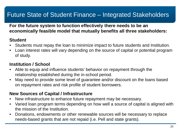### Future State of Student Finance – Integrated Stakeholders

#### **For the future system to function effectively there needs to be an economically feasible model that mutually benefits all three stakeholders:**

#### **Student**

- Students must repay the loan to minimize impact to future students and Institution.
- Loan interest rates will vary depending on the source of capital or potential program of study.

#### **Institution / School**

- Able to equip and influence students' behavior on repayment through the relationship established during the in-school period.
- May need to provide some level of guarantee and/or discount on the loans based on repayment rates and risk profile of student borrowers.

#### **New Sources of Capital / Infrastructure**

- New infrastructure to enhance future repayment may be necessary.
- Varied loan program terms depending on how well a source of capital is aligned with the mission of the Institution.
- Donations, endowments or other renewable sources will be necessary to replace needs-based grants that are not repaid (i.e. Pell and state grants).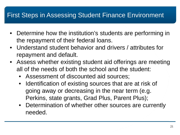### First Steps in Assessing Student Finance Environment

- Determine how the institution's students are performing in the repayment of their federal loans.
- Understand student behavior and drivers / attributes for repayment and default.
- Assess whether existing student aid offerings are meeting all of the needs of both the school and the student:
	- Assessment of discounted aid sources;
	- Identification of existing sources that are at risk of going away or decreasing in the near term (e.g. Perkins, state grants, Grad Plus, Parent Plus);
	- Determination of whether other sources are currently needed.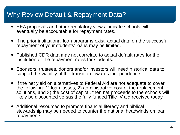### Why Review Default & Repayment Data?

- HEA proposals and other regulatory views indicate schools will eventually be accountable for repayment rates.
- If no prior institutional loan programs exist, actual data on the successful repayment of your students' loans may be limited.
- Published CDR data may not correlate to actual default rates for the institution or the repayment rates for students.
- Sponsors, trustees, donors and/or investors will need historical data to support the viability of the transition towards independence.
- If the net yield on alternatives to Federal Aid are not adequate to cover the following: 1) loan losses, 2) administrative cost of the replacement solutions, and 3) the cost of capital, then net proceeds to the schools will likely be discounted versus the fully funded Title IV aid received today.
- Additional resources to promote financial literacy and biblical stewardship may be needed to counter the national headwinds on loan repayments.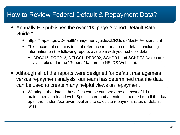### How to Review Federal Default & Repayment Data?

- Annually ED publishes the over 200 page "Cohort Default Rate Guide."
	- https://ifap.ed.gov/DefaultManagement/guide/CDRGuideMasterVersion.html
	- This document contains tons of reference information on default, including information on the following reports available with your schools data:
		- DRC015, DRC016, DELQ01, DER002, SCHPR1 and SCHDF2 (which are available under the "Reports" tab on the NSLDS Web site).
- Although all of the reports were designed for default management, versus repayment analysis, our team has determined that the data can be used to create many helpful views on repayment
	- Warning the data in these files can be cumbersome as most of it is maintained at a loan level. Special care and attention is needed to roll the data up to the student/borrower level and to calculate repayment rates or default rates.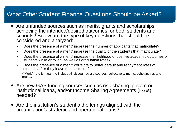### What Other Student Finance Questions Should be Asked?

- Are unfunded sources such as merits, grants and scholarships achieving the intended/desired outcomes for both students and schools? Below are the type of key questions that should be considered and analyzed:
	- Does the presence of a merit\* increase the number of applicants that matriculate?
	- Does the presence of a merit<sup>\*</sup> increase the quality of the students that matriculate?
	- Does the presence of a merit<sup>\*</sup> increase the likelihood of positive academic outcomes of students while enrolled, as well as graduation rates?
	- Does the presence of a merit\* correlate to better default and repayment rates of students after they leave the institution?

\*"Merit" here is meant to include all discounted aid sources, collectively: merits, scholarships and grants.

- Are new GAP funding sources such as risk-sharing, private or institutional loans, and/or Income Sharing Agreements (ISAs) needed?
- Are the institution's student aid offerings aligned with the organization's strategic and operational plans?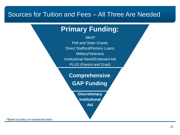### Sources for Tuition and Fees – All Three Are Needed

### **Primary Funding:**

Merit\* Pell and State Grants Direct Stafford/Perkins Loans Military/Veterans Institutional Need/Endowed Aid PLUS (Parent and Grad)

**Comprehensive GAP Funding** 

> **Discretionary Institutional**

**Aid**

\*Based on policy or systemized rubric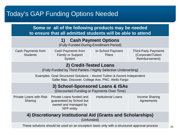### Today's GAP Funding Options Needed

| Some or all of the following products may be needed<br>to ensure that all admitted students will be able to attend               |                                                                                            |                                          |                                                                     |  |
|----------------------------------------------------------------------------------------------------------------------------------|--------------------------------------------------------------------------------------------|------------------------------------------|---------------------------------------------------------------------|--|
| 1) Cash Payment Options<br>(Fully Funded During Enrollment Period)                                                               |                                                                                            |                                          |                                                                     |  |
| Cash Payments from<br><b>Students</b>                                                                                            | Cash Payments from<br><b>Family or Support</b><br>System                                   | <b>In-School Payment</b><br><b>Plans</b> | <b>Third-Party Payments</b><br>(Corporate/Tuition<br>Reimbursement) |  |
| 2) Credit-Tested Loans<br>(Fully Funded by Third Parties / Highly Selective Underwriting)                                        |                                                                                            |                                          |                                                                     |  |
| Examples: Goal Structured Solutions - Ascent Tuition & Ascent Independent<br>Sallie Mae, Discover, College Ave, PNC, Wells Fargo |                                                                                            |                                          |                                                                     |  |
| 3) School-Sponsored Loans & ISAs<br>(Discounted Funding or Payments Over Time)                                                   |                                                                                            |                                          |                                                                     |  |
| <b>Private Loans with Risk</b><br>Sharing                                                                                        | Private Loans funded and<br>guaranteed by School but<br>owned and managed by<br>NFP entity | <b>Institutional Loans</b>               | <b>Income Sharing</b><br>Agreements                                 |  |
| 4) Discretionary Institutional Aid (Grants and Scholarships)<br>(Unfunded)                                                       |                                                                                            |                                          |                                                                     |  |
| These solutions should be used on an exception basis only with a structured approval process                                     |                                                                                            |                                          |                                                                     |  |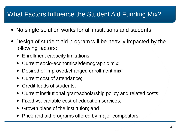### What Factors Influence the Student Aid Funding Mix?

- No single solution works for all institutions and students.
- Design of student aid program will be heavily impacted by the following factors:
	- Enrollment capacity limitations;
	- Current socio-economical/demographic mix;
	- Desired or improved/changed enrollment mix;
	- Current cost of attendance;
	- Credit loads of students;
	- Current institutional grant/scholarship policy and related costs;
	- Fixed vs. variable cost of education services;
	- Growth plans of the institution; and
	- Price and aid programs offered by major competitors.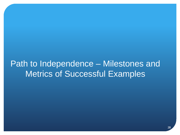## Path to Independence – Milestones and Metrics of Successful Examples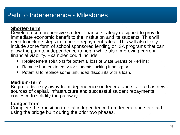### Path to Independence - Milestones

#### **Shorter-Term**

Develop a comprehensive student finance strategy designed to provide immediate economic benefit to the institution and its students. This will need to include steps to improve repayment rates. This will also likely include some form of school sponsored lending or ISA programs that can allow the path to independence to begin while also improving current financial viability. Examples could include:

- Replacement solutions for potential loss of State Grants or Perkins;
- Remove barriers to entry for students lacking funding; or
- Potential to replace some unfunded discounts with a loan.

#### **Medium-Term**

Begin to diversify away from dependence on federal and state aid as new sources of capital, infrastructure and successful student repayments coalesce to solidify the pathway.

#### **Longer-Term**

Complete the transition to total independence from federal and state aid using the bridge built during the prior two phases.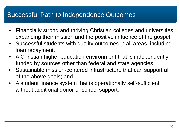### Successful Path to Independence Outcomes

- Financially strong and thriving Christian colleges and universities expanding their mission and the positive influence of the gospel.
- Successful students with quality outcomes in all areas, including loan repayment.
- A Christian higher education environment that is independently funded by sources other than federal and state agencies;
- Sustainable mission-centered infrastructure that can support all of the above goals; and
- A student finance system that is operationally self-sufficient without additional donor or school support.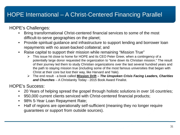### HOPE International – A Christ-Centered Financing Parallel

HOPE's Challenges:

- Bring transformational Christ-centered financial services to some of the most difficult-to-serve geographies on the planet;
- Provide spiritual guidance and infrastructure to support lending and borrower loan repayments with no asset-backed collateral; and
- Raise capital to support their mission while remaining "Mission True"
	- $\triangleright$  This issue hit close to home for HOPE and its CEO Peter Greer, when a contingency of a potentially large donor requested the organization to "tone down its Christian mission." The result of their journey led them to study Christian organizations over the last several hundred years and the path to staying mission true (including some of the most famous universities that began with Christ at their core but lost their way, like Harvard and Yale).
	- The end result a book called **Mission Drift –** *The Unspoken Crisis Facing Leaders, Charities and Churches* – A Christianity Today - 2015 Book Award Finalist.

HOPE's Success:

- 20 Years of helping spread the gospel through holistic solutions in over 16 countries;
- 950,000 current clients serviced with Christ-centered financial products;
- 98% 5-Year Loan Repayment Rate;
- Half of regions are operationally self-sufficient (meaning they no longer require guarantees or support from outside sources).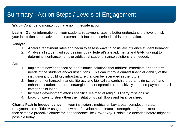### Summary - Action Steps / Levels of Engagement

**Wait** – Continue to monitor, but take no immediate action.

**Learn** – Gather information on your students repayment rates to better understand the level of risk your institution has relative to the external risk factors described in this presentation.

#### **Analyze**

- 1. Analyze repayment rates and begin to assess ways to positively influence student behavior.
- 2. Analyze all student aid sources (including federal/state aid, merits and GAP funding) to determine if enhancements or additional student finance solutions are needed.

#### **Act**

- 1. Implement new/enhanced student finance solutions that address immediate or near term needs of the students and/or Institutions. This can improve current financial viability of the institution and build key infrastructure that can be leveraged in the future.
- 2. Implement enhanced financial literacy and biblical stewardship programs (in-school) and enhanced student outreach strategies (post-separation) to positively impact repayment on all categories of loans.
- 3. Increase development efforts specifically aimed at religious liberty/mission risk.
- 4. Look for ways to strengthen the institution's cash flows and balance sheet.

**Chart a Path to Independence** – If your institution's metrics on key areas (completion rates, repayment rates, Title IV usage, endowment/development, financial strength, etc.) are exceptional, then setting a proactive course for independence like Grove City/Hillsdale did decades before might be possible today.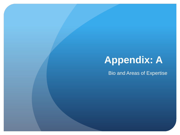# **Appendix: A**

Bio and Areas of Expertise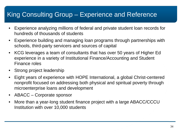### King Consulting Group – Experience and Reference

- Experience analyzing millions of federal and private student loan records for hundreds of thousands of students
- Experience building and managing loan programs through partnerships with schools, third-party servicers and sources of capital
- KCG leverages a team of consultants that has over 50 years of Higher Ed experience in a variety of Institutional Finance/Accounting and Student Finance roles
- Strong project leadership
- Eight years of experience with HOPE International, a global Christ-centered nonprofit focused on addressing both physical and spiritual poverty through microenterprise loans and development
- ABACC Corporate sponsor
- More than a year-long student finance project with a large ABACC/CCCU Institution with over 10,000 students